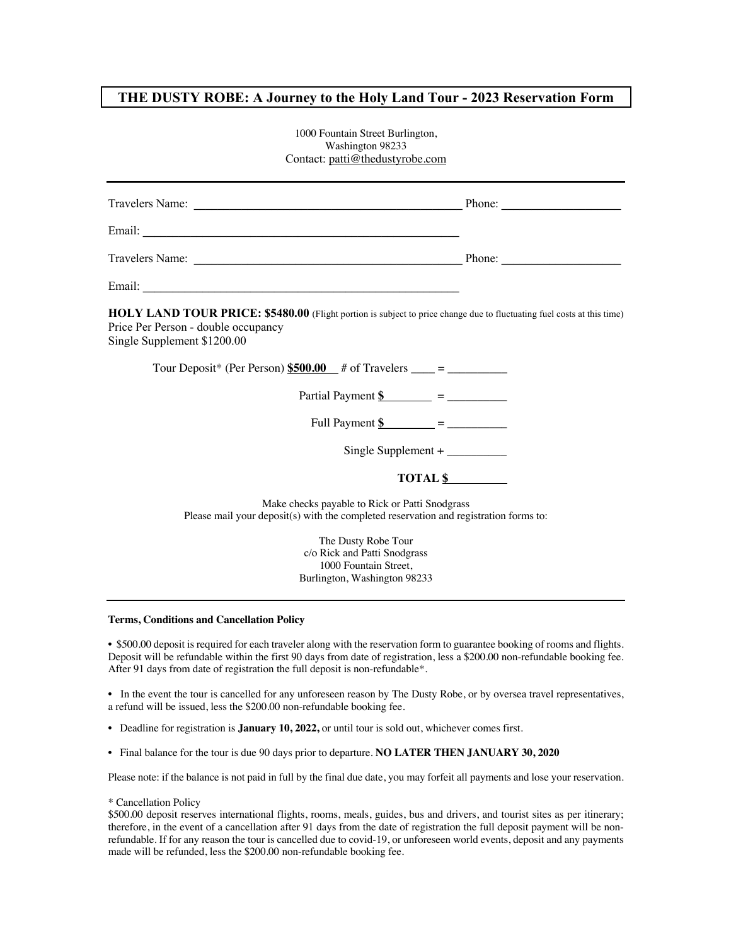## **THE DUSTY ROBE: A Journey to the Holy Land Tour - 2023 Reservation Form**

| 1000 Fountain Street Burlington,<br>Washington 98233<br>Contact: patti@thedustyrobe.com                                                                                                        |          |
|------------------------------------------------------------------------------------------------------------------------------------------------------------------------------------------------|----------|
|                                                                                                                                                                                                |          |
|                                                                                                                                                                                                |          |
|                                                                                                                                                                                                |          |
|                                                                                                                                                                                                |          |
| $HOLY$ LAND TOUR PRICE: \$5480.00 (Flight portion is subject to price change due to fluctuating fuel costs at this time)<br>Price Per Person - double occupancy<br>Single Supplement \$1200.00 |          |
|                                                                                                                                                                                                |          |
|                                                                                                                                                                                                |          |
|                                                                                                                                                                                                |          |
|                                                                                                                                                                                                | TOTAL \$ |
| Make checks payable to Rick or Patti Snodgrass<br>Please mail your deposit(s) with the completed reservation and registration forms to:                                                        |          |
| The Dusty Robe Tour<br>c/o Rick and Patti Snodgrass<br>1000 Fountain Street,<br>Burlington, Washington 98233                                                                                   |          |

## **Terms, Conditions and Cancellation Policy**

• \$500.00 deposit is required for each traveler along with the reservation form to guarantee booking of rooms and flights. Deposit will be refundable within the first 90 days from date of registration, less a \$200.00 non-refundable booking fee. After 91 days from date of registration the full deposit is non-refundable\*.

• In the event the tour is cancelled for any unforeseen reason by The Dusty Robe, or by oversea travel representatives, a refund will be issued, less the \$200.00 non-refundable booking fee.

- Deadline for registration is **January 10, 2022,** or until tour is sold out, whichever comes first.
- Final balance for the tour is due 90 days prior to departure. **NO LATER THEN JANUARY 30, 2020**

Please note: if the balance is not paid in full by the final due date, you may forfeit all payments and lose your reservation.

\* Cancellation Policy

\$500.00 deposit reserves international flights, rooms, meals, guides, bus and drivers, and tourist sites as per itinerary; therefore, in the event of a cancellation after 91 days from the date of registration the full deposit payment will be nonrefundable. If for any reason the tour is cancelled due to covid-19, or unforeseen world events, deposit and any payments made will be refunded, less the \$200.00 non-refundable booking fee.